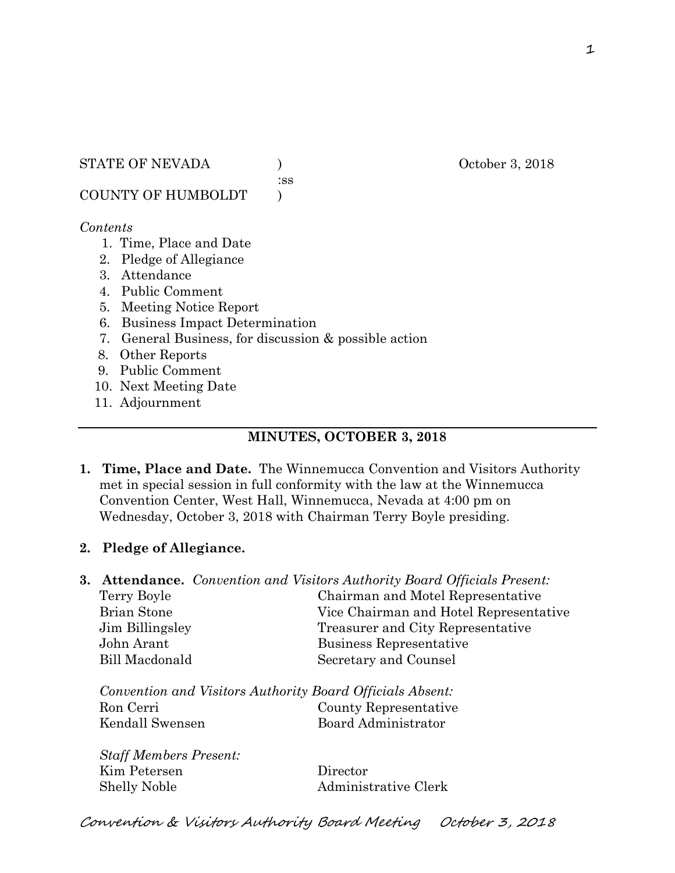:ss

COUNTY OF HUMBOLDT )

#### *Contents*

- 1. Time, Place and Date
- 2. Pledge of Allegiance
- 3. Attendance
- 4. Public Comment
- 5. Meeting Notice Report
- 6. Business Impact Determination
- 7. General Business, for discussion & possible action

8. Other Reports

- 9. Public Comment
- 10. Next Meeting Date
- 11. Adjournment

# **MINUTES, OCTOBER 3, 2018**

**1. Time, Place and Date.** The Winnemucca Convention and Visitors Authority met in special session in full conformity with the law at the Winnemucca Convention Center, West Hall, Winnemucca, Nevada at 4:00 pm on Wednesday, October 3, 2018 with Chairman Terry Boyle presiding.

# **2. Pledge of Allegiance.**

**3. Attendance.** *Convention and Visitors Authority Board Officials Present:*  Terry Boyle Chairman and Motel Representative Brian Stone Vice Chairman and Hotel Representative Jim Billingsley Treasurer and City Representative John Arant Business Representative Bill Macdonald Secretary and Counsel

*Convention and Visitors Authority Board Officials Absent:*  Ron Cerri County Representative Kendall Swensen Board Administrator

*Staff Members Present:*  Kim Petersen Director Shelly Noble Administrative Clerk

Convention & Visitors Authority Board Meeting October 3, 2018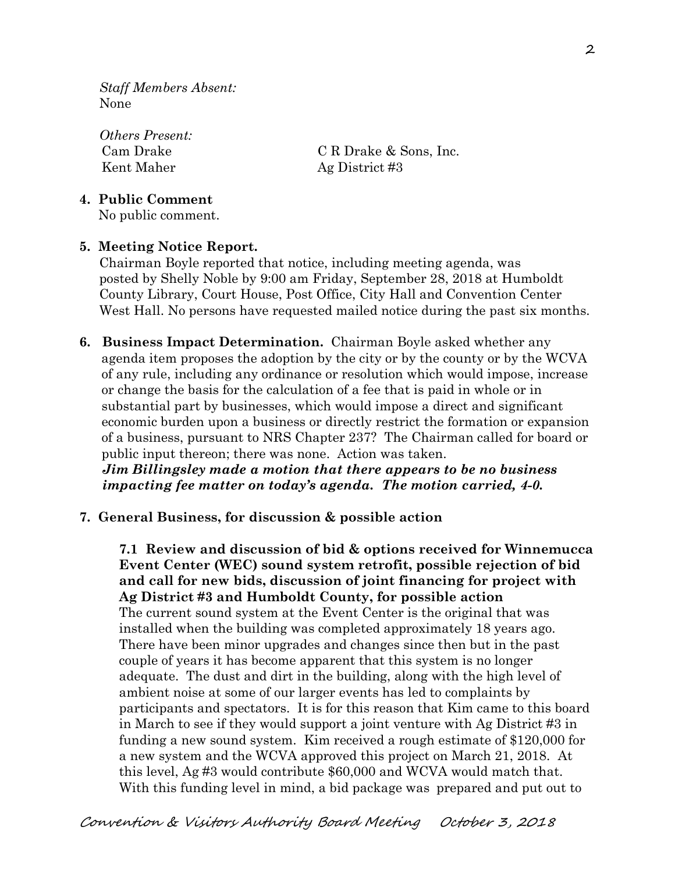*Staff Members Absent:*  None

*Others Present:*  Kent Maher Ag District #3

Cam Drake C R Drake & Sons, Inc.

### **4. Public Comment**

No public comment.

# **5. Meeting Notice Report.**

Chairman Boyle reported that notice, including meeting agenda, was posted by Shelly Noble by 9:00 am Friday, September 28, 2018 at Humboldt County Library, Court House, Post Office, City Hall and Convention Center West Hall. No persons have requested mailed notice during the past six months.

**6. Business Impact Determination.** Chairman Boyle asked whether any agenda item proposes the adoption by the city or by the county or by the WCVA of any rule, including any ordinance or resolution which would impose, increase or change the basis for the calculation of a fee that is paid in whole or in substantial part by businesses, which would impose a direct and significant economic burden upon a business or directly restrict the formation or expansion of a business, pursuant to NRS Chapter 237? The Chairman called for board or public input thereon; there was none. Action was taken.

 *Jim Billingsley made a motion that there appears to be no business impacting fee matter on today's agenda. The motion carried, 4-0.* 

#### **7. General Business, for discussion & possible action**

**7.1 Review and discussion of bid & options received for Winnemucca Event Center (WEC) sound system retrofit, possible rejection of bid and call for new bids, discussion of joint financing for project with Ag District #3 and Humboldt County, for possible action**  The current sound system at the Event Center is the original that was installed when the building was completed approximately 18 years ago. There have been minor upgrades and changes since then but in the past couple of years it has become apparent that this system is no longer adequate. The dust and dirt in the building, along with the high level of ambient noise at some of our larger events has led to complaints by participants and spectators. It is for this reason that Kim came to this board in March to see if they would support a joint venture with Ag District #3 in funding a new sound system. Kim received a rough estimate of \$120,000 for a new system and the WCVA approved this project on March 21, 2018. At this level, Ag #3 would contribute \$60,000 and WCVA would match that. With this funding level in mind, a bid package was prepared and put out to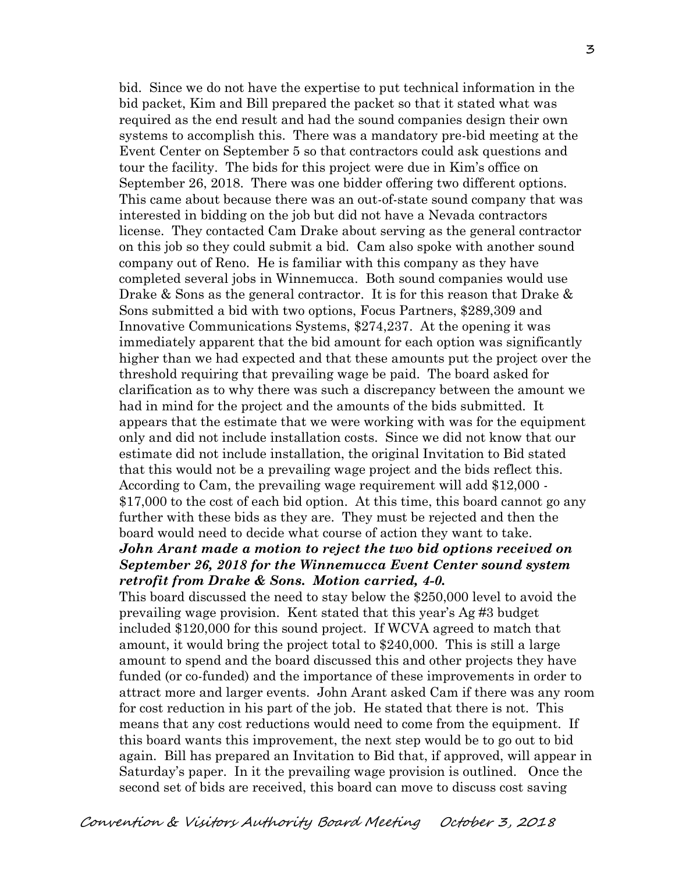bid. Since we do not have the expertise to put technical information in the bid packet, Kim and Bill prepared the packet so that it stated what was required as the end result and had the sound companies design their own systems to accomplish this. There was a mandatory pre-bid meeting at the Event Center on September 5 so that contractors could ask questions and tour the facility. The bids for this project were due in Kim's office on September 26, 2018. There was one bidder offering two different options. This came about because there was an out-of-state sound company that was interested in bidding on the job but did not have a Nevada contractors license. They contacted Cam Drake about serving as the general contractor on this job so they could submit a bid. Cam also spoke with another sound company out of Reno. He is familiar with this company as they have completed several jobs in Winnemucca. Both sound companies would use Drake & Sons as the general contractor. It is for this reason that Drake & Sons submitted a bid with two options, Focus Partners, \$289,309 and Innovative Communications Systems, \$274,237. At the opening it was immediately apparent that the bid amount for each option was significantly higher than we had expected and that these amounts put the project over the threshold requiring that prevailing wage be paid. The board asked for clarification as to why there was such a discrepancy between the amount we had in mind for the project and the amounts of the bids submitted. It appears that the estimate that we were working with was for the equipment only and did not include installation costs. Since we did not know that our estimate did not include installation, the original Invitation to Bid stated that this would not be a prevailing wage project and the bids reflect this. According to Cam, the prevailing wage requirement will add \$12,000 - \$17,000 to the cost of each bid option. At this time, this board cannot go any further with these bids as they are. They must be rejected and then the board would need to decide what course of action they want to take. *John Arant made a motion to reject the two bid options received on* 

# *September 26, 2018 for the Winnemucca Event Center sound system retrofit from Drake & Sons. Motion carried, 4-0.*

This board discussed the need to stay below the \$250,000 level to avoid the prevailing wage provision. Kent stated that this year's Ag #3 budget included \$120,000 for this sound project. If WCVA agreed to match that amount, it would bring the project total to \$240,000. This is still a large amount to spend and the board discussed this and other projects they have funded (or co-funded) and the importance of these improvements in order to attract more and larger events. John Arant asked Cam if there was any room for cost reduction in his part of the job. He stated that there is not. This means that any cost reductions would need to come from the equipment. If this board wants this improvement, the next step would be to go out to bid again. Bill has prepared an Invitation to Bid that, if approved, will appear in Saturday's paper. In it the prevailing wage provision is outlined. Once the second set of bids are received, this board can move to discuss cost saving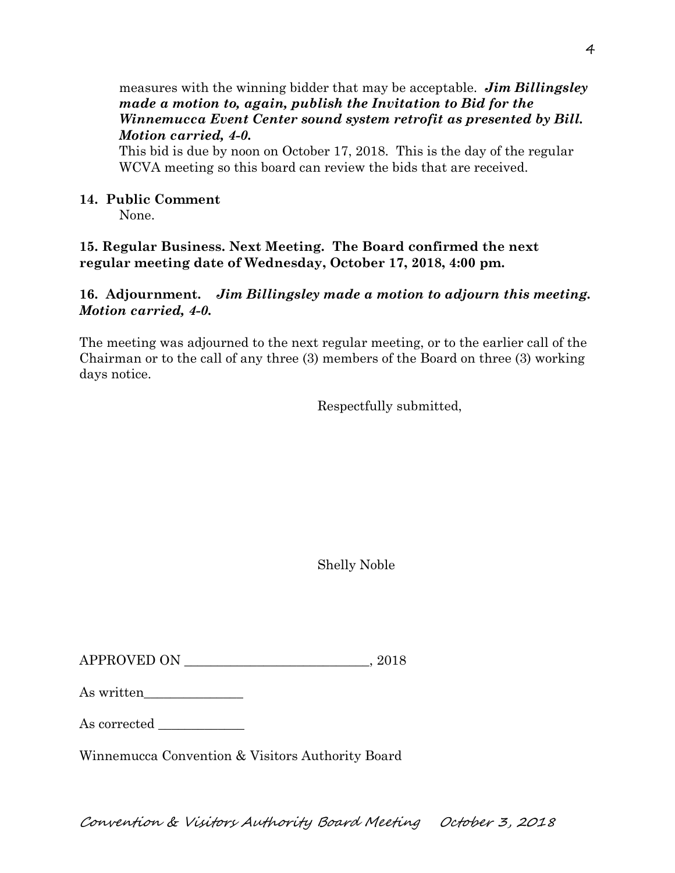## measures with the winning bidder that may be acceptable. *Jim Billingsley made a motion to, again, publish the Invitation to Bid for the Winnemucca Event Center sound system retrofit as presented by Bill. Motion carried, 4-0.*

This bid is due by noon on October 17, 2018. This is the day of the regular WCVA meeting so this board can review the bids that are received.

## **14. Public Comment**

None.

**15. Regular Business. Next Meeting. The Board confirmed the next regular meeting date of Wednesday, October 17, 2018, 4:00 pm.** 

## **16. Adjournment.** *Jim Billingsley made a motion to adjourn this meeting. Motion carried, 4-0.*

The meeting was adjourned to the next regular meeting, or to the earlier call of the Chairman or to the call of any three (3) members of the Board on three (3) working days notice.

Respectfully submitted,

Shelly Noble

 $APPROVED ON \t 2018$ 

| As written |
|------------|
|------------|

As corrected

Winnemucca Convention & Visitors Authority Board